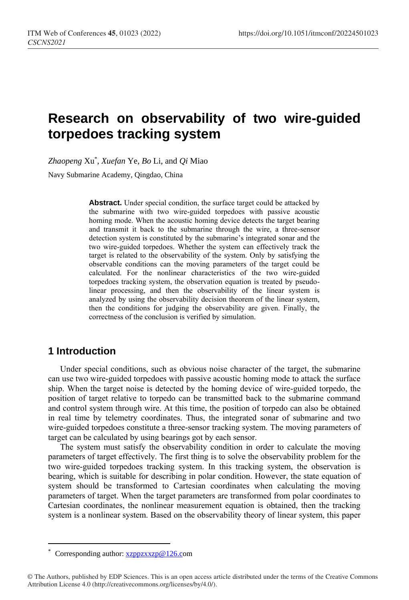# **Research on observability of two wire-guided torpedoes tracking system**

*Zhaopeng* Xu\* , *Xuefan* Ye, *Bo* Li, and *Qi* Miao

Navy Submarine Academy, Qingdao, China

**Abstract.** Under special condition, the surface target could be attacked by the submarine with two wire-guided torpedoes with passive acoustic homing mode. When the acoustic homing device detects the target bearing and transmit it back to the submarine through the wire, a three-sensor detection system is constituted by the submarine's integrated sonar and the two wire-guided torpedoes. Whether the system can effectively track the target is related to the observability of the system. Only by satisfying the observable conditions can the moving parameters of the target could be calculated. For the nonlinear characteristics of the two wire-guided torpedoes tracking system, the observation equation is treated by pseudolinear processing, and then the observability of the linear system is analyzed by using the observability decision theorem of the linear system, then the conditions for judging the observability are given. Finally, the correctness of the conclusion is verified by simulation.

## **1 Introduction**

 $\overline{a}$ 

Under special conditions, such as obvious noise character of the target, the submarine can use two wire-guided torpedoes with passive acoustic homing mode to attack the surface ship. When the target noise is detected by the homing device of wire-guided torpedo, the position of target relative to torpedo can be transmitted back to the submarine command and control system through wire. At this time, the position of torpedo can also be obtained in real time by telemetry coordinates. Thus, the integrated sonar of submarine and two wire-guided torpedoes constitute a three-sensor tracking system. The moving parameters of target can be calculated by using bearings got by each sensor.

The system must satisfy the observability condition in order to calculate the moving parameters of target effectively. The first thing is to solve the observability problem for the two wire-guided torpedoes tracking system. In this tracking system, the observation is bearing, which is suitable for describing in polar condition. However, the state equation of system should be transformed to Cartesian coordinates when calculating the moving parameters of target. When the target parameters are transformed from polar coordinates to Cartesian coordinates, the nonlinear measurement equation is obtained, then the tracking system is a nonlinear system. Based on the observability theory of linear system, this paper

Corresponding author[: xzppzxxzp@126.co](mailto:author@email.org)m

<sup>©</sup> The Authors, published by EDP Sciences. This is an open access article distributed under the terms of the Creative Commons Attribution License 4.0 (http://creativecommons.org/licenses/by/4.0/).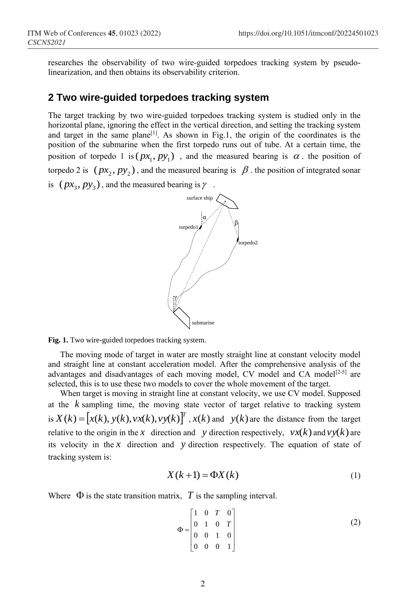researches the observability of two wire-guided torpedoes tracking system by pseudolinearization, and then obtains its observability criterion.

#### **2 Two wire-guided torpedoes tracking system**

The target tracking by two wire-guided torpedoes tracking system is studied only in the horizontal plane, ignoring the effect in the vertical direction, and setting the tracking system and target in the same plane<sup>[1]</sup>. As shown in Fig.1, the origin of the coordinates is the position of the submarine when the first torpedo runs out of tube. At a certain time, the position of torpedo 1 is  $(px_1, py_1)$ , and the measured bearing is  $\alpha$ . the position of torpedo 2 is  $(px_2, py_2)$ , and the measured bearing is  $\beta$ . the position of integrated sonar is  $(px_3, py_3)$ , and the measured bearing is  $\gamma$ .



**Fig. 1.** Two wire-guided torpedoes tracking system.

The moving mode of target in water are mostly straight line at constant velocity model and straight line at constant acceleration model. After the comprehensive analysis of the advantages and disadvantages of each moving model, CV model and CA model<sup>[2-5]</sup> are selected, this is to use these two models to cover the whole movement of the target.

When target is moving in straight line at constant velocity, we use CV model. Supposed at the *k* sampling time, the moving state vector of target relative to tracking system is  $X(k) = [x(k), y(k), v(x(k))]^{T}$ ,  $x(k)$  and  $y(k)$  are the distance from the target relative to the origin in the x direction and y direction respectively,  $vx(k)$  and  $vy(k)$  are its velocity in the  $x$  direction and  $y$  direction respectively. The equation of state of tracking system is:

$$
X(k+1) = \Phi X(k)
$$
 (1)

Where  $\Phi$  is the state transition matrix,  $T$  is the sampling interval.

$$
\Phi = \begin{bmatrix} 1 & 0 & T & 0 \\ 0 & 1 & 0 & T \\ 0 & 0 & 1 & 0 \\ 0 & 0 & 0 & 1 \end{bmatrix}
$$
 (2)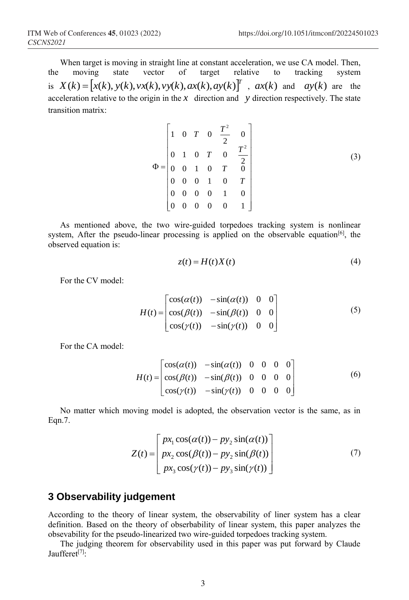When target is moving in straight line at constant acceleration, we use CA model. Then, the moving state vector of target relative to tracking system is  $X(k) = [x(k), y(k), vx(k), vy(k), ax(k), ay(k)]^T$ ,  $ax(k)$  and  $ay(k)$  are the acceleration relative to the origin in the  $x$  direction and  $y$  direction respectively. The state transition matrix:

$$
\Phi = \begin{bmatrix} 1 & 0 & T & 0 & \frac{T^2}{2} & 0 \\ 0 & 1 & 0 & T & 0 & \frac{T^2}{2} \\ 0 & 0 & 1 & 0 & T & 0 \\ 0 & 0 & 0 & 1 & 0 & T \\ 0 & 0 & 0 & 0 & 1 & 0 \\ 0 & 0 & 0 & 0 & 0 & 1 \end{bmatrix}
$$
(3)

As mentioned above, the two wire-guided torpedoes tracking system is nonlinear system, After the pseudo-linear processing is applied on the observable equation $[6]$ , the observed equation is:

$$
z(t) = H(t)X(t)
$$
\n<sup>(4)</sup>

For the CV model:

$$
H(t) = \begin{bmatrix} \cos(\alpha(t)) & -\sin(\alpha(t)) & 0 & 0\\ \cos(\beta(t)) & -\sin(\beta(t)) & 0 & 0\\ \cos(\gamma(t)) & -\sin(\gamma(t)) & 0 & 0 \end{bmatrix}
$$
 (5)

For the CA model:

$$
H(t) = \begin{bmatrix} \cos(\alpha(t)) & -\sin(\alpha(t)) & 0 & 0 & 0 & 0 \\ \cos(\beta(t)) & -\sin(\beta(t)) & 0 & 0 & 0 & 0 \\ \cos(\gamma(t)) & -\sin(\gamma(t)) & 0 & 0 & 0 & 0 \end{bmatrix}
$$
 (6)

No matter which moving model is adopted, the observation vector is the same, as in Eqn.7.

$$
Z(t) = \begin{bmatrix} px_1 \cos(\alpha(t)) - py_2 \sin(\alpha(t)) \\ px_2 \cos(\beta(t)) - py_2 \sin(\beta(t)) \\ px_3 \cos(\gamma(t)) - py_3 \sin(\gamma(t)) \end{bmatrix}
$$
(7)

#### **3 Observability judgement**

According to the theory of linear system, the observability of liner system has a clear definition. Based on the theory of obserbability of linear system, this paper analyzes the obsevability for the pseudo-linearized two wire-guided torpedoes tracking system.

The judging theorem for observability used in this paper was put forward by Claude Jaufferet<sup>[7]</sup>: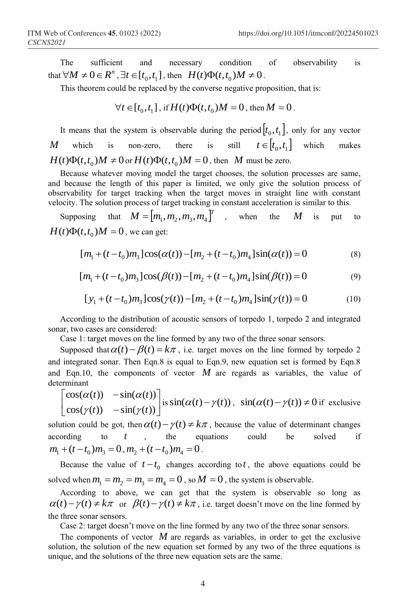The sufficient and necessary condition of observability is that  $\forall M \neq 0 \in R^n$ ,  $\exists t \in [t_0, t_1]$ , then  $H(t)\Phi(t, t_0)M \neq 0$ .

This theorem could be replaced by the converse negative proposition, that is:

$$
\forall t \in [t_0, t_1], \text{ if } H(t)\Phi(t, t_0)M = 0, \text{ then } M = 0.
$$

It means that the system is observable during the period  $[t_0, t_1]$ , only for any vector *M* which is non-zero, there is  $t \in [t_0, t_1]$  which makes  $H(t)\Phi(t,t_0)M \neq 0$  or  $H(t)\Phi(t,t_0)M = 0$ , then *M* must be zero.

Because whatever moving model the target chooses, the solution processes are same, and because the length of this paper is limited, we only give the solution process of observability for target tracking when the target moves in straight line with constant velocity. The solution process of target tracking in constant acceleration is similar to this.

Supposing  $M = [m_1, m_2, m_3, m_4]^T$  , when the  $M$  is put to  $H(t)\Phi(t,t_0)M = 0$ , we can get:

$$
[m_1 + (t - t_0)m_3]\cos(\alpha(t)) - [m_2 + (t - t_0)m_4]\sin(\alpha(t)) = 0
$$
\n(8)

$$
[m_1 + (t - t_0)m_3]\cos(\beta(t)) - [m_2 + (t - t_0)m_4]\sin(\beta(t)) = 0
$$
\n(9)

$$
[y_1 + (t - t_0)m_3]\cos(\gamma(t)) - [m_2 + (t - t_0)m_4]\sin(\gamma(t)) = 0
$$
 (10)

According to the distribution of acoustic sensors of torpedo 1, torpedo 2 and integrated sonar, two cases are considered:

Case 1: target moves on the line formed by any two of the three sonar sensors.

Supposed that  $\alpha(t) - \beta(t) = k\pi$ , i.e. target moves on the line formed by torpedo 2 and integrated sonar. Then Eqn.8 is equal to Eqn.9, new equation set is formed by Eqn.8 and Eqn.10, the components of vector  $M$  are regards as variables, the value of determinant

$$
\begin{bmatrix}\n\cos(\alpha(t)) & -\sin(\alpha(t)) \\
\cos(\gamma(t)) & -\sin(\gamma(t))\n\end{bmatrix}
$$
 is  $\sin(\alpha(t) - \gamma(t))$ ,  $\sin(\alpha(t) - \gamma(t)) \neq 0$  if exclusive

solution could be got, then  $\alpha(t) - \gamma(t) \neq k\pi$ , because the value of determinant changes according to *t* , the equations could be solved if  $m_1 + (t - t_0) m_3 = 0$ ,  $m_2 + (t - t_0) m_4 = 0$ .

Because the value of  $t - t_0$  changes according to t, the above equations could be solved when  $m_1 = m_2 = m_3 = m_4 = 0$ , so  $M = 0$ , the system is observable.

According to above, we can get that the system is observable so long as  $\alpha(t) - \gamma(t) \neq k\pi$  or  $\beta(t) - \gamma(t) \neq k\pi$ , i.e. target doesn't move on the line formed by the three sonar sensors.

Case 2: target doesn't move on the line formed by any two of the three sonar sensors.

The components of vector  $M$  are regards as variables, in order to get the exclusive solution, the solution of the new equation set formed by any two of the three equations is unique, and the solutions of the three new equation sets are the same.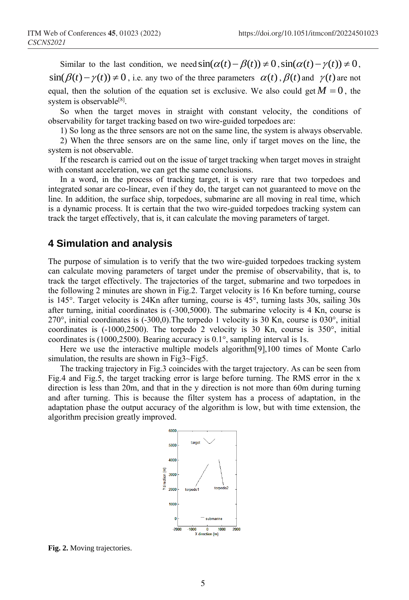Similar to the last condition, we need  $\sin(\alpha(t) - \beta(t)) \neq 0$ ,  $\sin(\alpha(t) - \gamma(t)) \neq 0$ ,  $\sin(\beta(t) - \gamma(t)) \neq 0$ , i.e. any two of the three parameters  $\alpha(t)$ ,  $\beta(t)$  and  $\gamma(t)$  are not equal, then the solution of the equation set is exclusive. We also could get  $M = 0$ , the system is observable<sup>[8]</sup>.

So when the target moves in straight with constant velocity, the conditions of observability for target tracking based on two wire-guided torpedoes are:

1) So long as the three sensors are not on the same line, the system is always observable.

2) When the three sensors are on the same line, only if target moves on the line, the system is not observable.

If the research is carried out on the issue of target tracking when target moves in straight with constant acceleration, we can get the same conclusions.

In a word, in the process of tracking target, it is very rare that two torpedoes and integrated sonar are co-linear, even if they do, the target can not guaranteed to move on the line. In addition, the surface ship, torpedoes, submarine are all moving in real time, which is a dynamic process. It is certain that the two wire-guided torpedoes tracking system can track the target effectively, that is, it can calculate the moving parameters of target.

### **4 Simulation and analysis**

The purpose of simulation is to verify that the two wire-guided torpedoes tracking system can calculate moving parameters of target under the premise of observability, that is, to track the target effectively. The trajectories of the target, submarine and two torpedoes in the following 2 minutes are shown in Fig.2. Target velocity is 16 Kn before turning, course is 145°. Target velocity is 24Kn after turning, course is 45°, turning lasts 30s, sailing 30s after turning, initial coordinates is (-300,5000). The submarine velocity is 4 Kn, course is 270°, initial coordinates is (-300,0).The torpedo 1 velocity is 30 Kn, course is 030°, initial coordinates is (-1000,2500). The torpedo 2 velocity is 30 Kn, course is 350°, initial coordinates is (1000,2500). Bearing accuracy is 0.1°, sampling interval is 1s.

Here we use the interactive multiple models algorithm[9],100 times of Monte Carlo simulation, the results are shown in Fig3~Fig5.

The tracking trajectory in Fig.3 coincides with the target trajectory. As can be seen from Fig.4 and Fig.5, the target tracking error is large before turning. The RMS error in the x direction is less than 20m, and that in the y direction is not more than 60m during turning and after turning. This is because the filter system has a process of adaptation, in the adaptation phase the output accuracy of the algorithm is low, but with time extension, the algorithm precision greatly improved.



**Fig. 2.** Moving trajectories.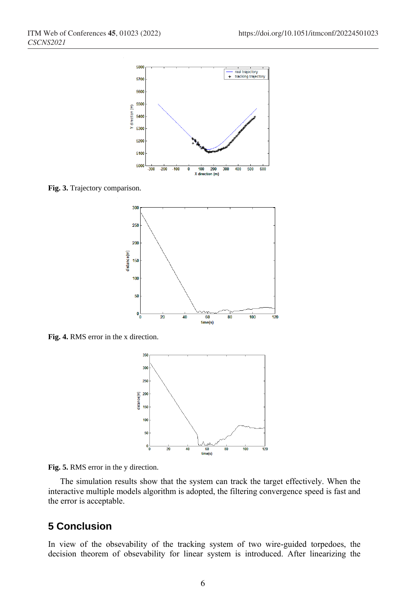

**Fig. 3.** Trajectory comparison.



**Fig. 4.** RMS error in the x direction.





The simulation results show that the system can track the target effectively. When the interactive multiple models algorithm is adopted, the filtering convergence speed is fast and the error is acceptable.

## **5 Conclusion**

In view of the obsevability of the tracking system of two wire-guided torpedoes, the decision theorem of obsevability for linear system is introduced. After linearizing the